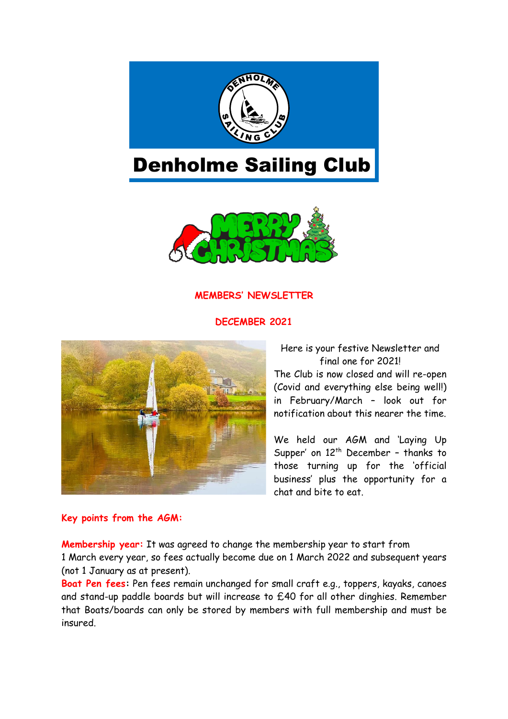

# Denholme Sailing Club



# **MEMBERS' NEWSLETTER**

#### **DECEMBER 2021**



Here is your festive Newsletter and final one for 2021! The Club is now closed and will re-open (Covid and everything else being well!) in February/March – look out for notification about this nearer the time.

We held our AGM and 'Laying Up Supper' on  $12<sup>th</sup>$  December - thanks to those turning up for the 'official business' plus the opportunity for a chat and bite to eat.

#### **Key points from the AGM:**

**Membership year:** It was agreed to change the membership year to start from 1 March every year, so fees actually become due on 1 March 2022 and subsequent years (not 1 January as at present).

**Boat Pen fees:** Pen fees remain unchanged for small craft e.g., toppers, kayaks, canoes and stand-up paddle boards but will increase to £40 for all other dinghies. Remember that Boats/boards can only be stored by members with full membership and must be insured.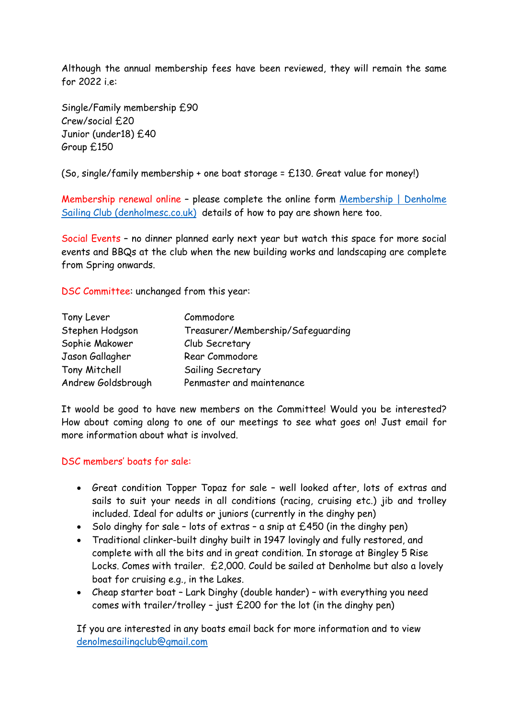Although the annual membership fees have been reviewed, they will remain the same for 2022 i.e:

Single/Family membership £90 Crew/social £20 Junior (under18) £40 Group £150

(So, single/family membership + one boat storage = £130. Great value for money!)

Membership renewal online – please complete the online form [Membership | Denholme](http://denholmesc.co.uk/join-us/)  [Sailing Club \(denholmesc.co.uk\)](http://denholmesc.co.uk/join-us/) details of how to pay are shown here too.

Social Events – no dinner planned early next year but watch this space for more social events and BBQs at the club when the new building works and landscaping are complete from Spring onwards.

DSC Committee: unchanged from this year:

| Tony Lever         | Commodore                         |
|--------------------|-----------------------------------|
| Stephen Hodgson    | Treasurer/Membership/Safeguarding |
| Sophie Makower     | Club Secretary                    |
| Jason Gallagher    | Rear Commodore                    |
| Tony Mitchell      | Sailing Secretary                 |
| Andrew Goldsbrough | Penmaster and maintenance         |

It woold be good to have new members on the Committee! Would you be interested? How about coming along to one of our meetings to see what goes on! Just email for more information about what is involved.

#### DSC members' boats for sale:

- Great condition Topper Topaz for sale well looked after, lots of extras and sails to suit your needs in all conditions (racing, cruising etc.) jib and trolley included. Ideal for adults or juniors (currently in the dinghy pen)
- Solo dinghy for sale lots of extras a snip at £450 (in the dinghy pen)
- Traditional clinker-built dinghy built in 1947 lovingly and fully restored, and complete with all the bits and in great condition. In storage at Bingley 5 Rise Locks. Comes with trailer. £2,000. Could be sailed at Denholme but also a lovely boat for cruising e.g., in the Lakes.
- Cheap starter boat Lark Dinghy (double hander) with everything you need comes with trailer/trolley - just  $£200$  for the lot (in the dinghy pen)

If you are interested in any boats email back for more information and to view [denolmesailingclub@gmail.com](mailto:denolmesailingclub@gmail.com)